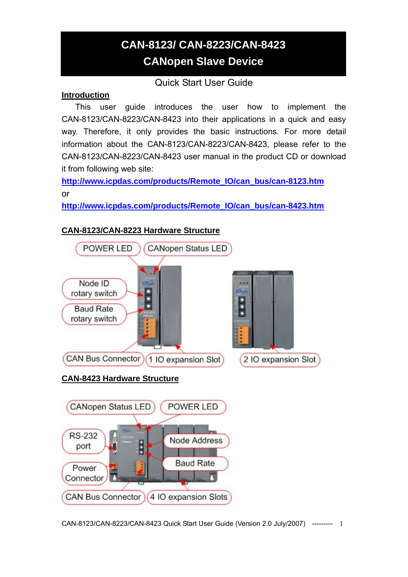# **CAN-8123/ CAN-8223/CAN-8423 CANopen Slave Device**

# Quick Start User Guide

## **Introduction**

This user guide introduces the user how to implement the CAN-8123/CAN-8223/CAN-8423 into their applications in a quick and easy way. Therefore, it only provides the basic instructions. For more detail information about the CAN-8123/CAN-8223/CAN-8423, please refer to the CAN-8123/CAN-8223/CAN-8423 user manual in the product CD or download it from following web site:

**[http://www.icpdas.com/products/Remote\\_IO/can\\_bus/can-8123.htm](http://www.icpdas.com/products/Remote_IO/can_bus/can-8123.htm)** or

**[http://www.icpdas.com/products/Remote\\_IO/can\\_bus/can-8423.htm](http://www.icpdas.com/products/Remote_IO/can_bus/can-8423.htm)**



## **CAN-8123/CAN-8223 Hardware Structure**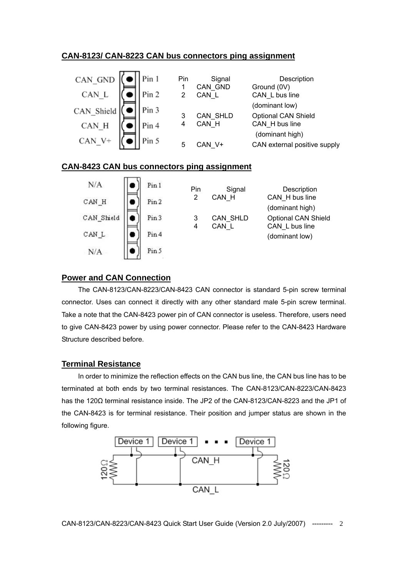#### **CAN-8123/ CAN-8223 CAN bus connectors ping assignment**

| CAN GND    | Pin 1 | Pin | Signal   | Description                  |
|------------|-------|-----|----------|------------------------------|
|            |       |     | CAN GND  | Ground (0V)                  |
| CAN L      | Pin 2 |     | CAN L    | CAN_L bus line               |
|            | Pin 3 |     |          | (dominant low)               |
| CAN_Shield |       | 3   | CAN_SHLD | <b>Optional CAN Shield</b>   |
| CAN H      | Pin 4 | 4   | CAN H    | CAN H bus line               |
|            |       |     |          | (dominant high)              |
| CAN V+     | Pin 5 | 5   | CAN V+   | CAN external positive supply |
|            |       |     |          |                              |

#### **CAN-8423 CAN bus connectors ping assignment**



#### **Power and CAN Connection**

The CAN-8123/CAN-8223/CAN-8423 CAN connector is standard 5-pin screw terminal connector. Uses can connect it directly with any other standard male 5-pin screw terminal. Take a note that the CAN-8423 power pin of CAN connector is useless. Therefore, users need to give CAN-8423 power by using power connector. Please refer to the CAN-8423 Hardware Structure described before.

#### **Terminal Resistance**

In order to minimize the reflection effects on the CAN bus line, the CAN bus line has to be terminated at both ends by two terminal resistances. The CAN-8123/CAN-8223/CAN-8423 has the 120Ω terminal resistance inside. The JP2 of the CAN-8123/CAN-8223 and the JP1 of the CAN-8423 is for terminal resistance. Their position and jumper status are shown in the following figure.

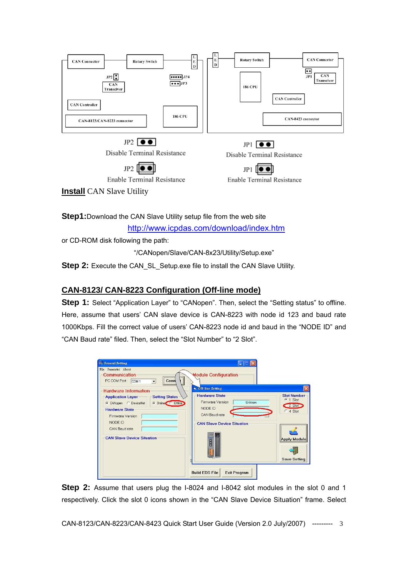

**Step1:**Download the CAN Slave Utility setup file from the web site

<http://www.icpdas.com/download/index.htm>

or CD-ROM disk following the path:

"/CANopen/Slave/CAN-8x23/Utility/Setup.exe"

**Step 2:** Execute the CAN\_SL\_Setup.exe file to install the CAN Slave Utility.

## **CAN-8123/ CAN-8223 Configuration (Off-line mode)**

**Step 1:** Select "Application Layer" to "CANopen". Then, select the "Setting status" to offline. Here, assume that users' CAN slave device is CAN-8223 with node id 123 and baud rate 1000Kbps. Fill the correct value of users' CAN-8223 node id and baud in the "NODE ID" and "CAN Baud rate" filed. Then, select the "Slot Number" to "2 Slot".

| <b>General Setting</b>                                                                                                                                                                                                                      |                                                                                                                           |                                                                                                            |
|---------------------------------------------------------------------------------------------------------------------------------------------------------------------------------------------------------------------------------------------|---------------------------------------------------------------------------------------------------------------------------|------------------------------------------------------------------------------------------------------------|
| File Parameter About<br>Communication<br>PC COM Port: COM 1<br>Conn<br>$\vert \cdot \vert$                                                                                                                                                  | <b>Module Configuration</b><br>Off-line Setting                                                                           | $\overline{\mathsf{x}}$                                                                                    |
| <b>Hardware Information</b><br><b>Setting States</b><br><b>Application Layer</b><br>C Online C Offline<br>CANopen C DeviceNet<br><b>Hardware State</b><br>Firmware Version<br>NODE ID<br>CAN Baud rate<br><b>CAN Slave Device Situation</b> | <b>Hardware State</b><br>Firmware Version<br>Unknow<br>NODE ID<br>CAN Baud rate<br><b>CAN Slave Device Situation</b><br>B | <b>Slot Number</b><br>$\cdot$ 1 Slot<br>2 Slot<br>$C$ 4 Slot<br><b>Apply Module</b><br><b>Save Setting</b> |
|                                                                                                                                                                                                                                             | <b>Build EDS File</b><br><b>Exit Program</b>                                                                              |                                                                                                            |

**Step 2:** Assume that users plug the I-8024 and I-8042 slot modules in the slot 0 and 1 respectively. Click the slot 0 icons shown in the "CAN Slave Device Situation" frame. Select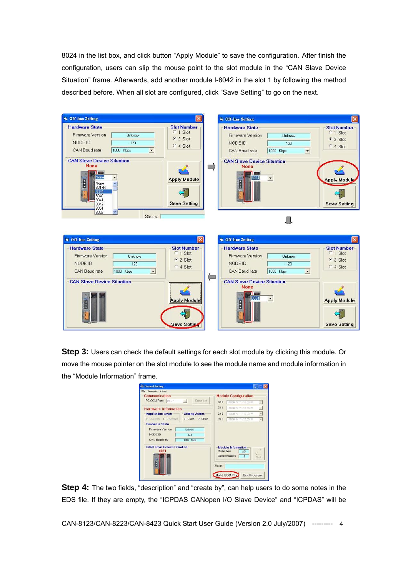8024 in the list box, and click button "Apply Module" to save the configuration. After finish the configuration, users can slip the mouse point to the slot module in the "CAN Slave Device Situation" frame. Afterwards, add another module I-8042 in the slot 1 by following the method described before. When all slot are configured, click "Save Setting" to go on the next.

|                                                                                                                             | $\boldsymbol{\times}$                                                    | <b>G</b> Off-line Setting                                                                                                   |                                                                    |
|-----------------------------------------------------------------------------------------------------------------------------|--------------------------------------------------------------------------|-----------------------------------------------------------------------------------------------------------------------------|--------------------------------------------------------------------|
| <b>Hardware State</b><br>Firmware Version<br>Unknow<br>NODE ID<br>123<br>1000 Kbps<br>CAN Baud rate<br>$\blacktriangledown$ | <b>Slot Number</b><br>C 1 Slot<br>$62$ Slot<br>C 4 Slot                  | <b>Hardware State</b><br>Firmware Version<br>Unknow<br>NODE ID<br>123<br>CAN Baud rate<br>1000 Kbps<br>$\blacktriangledown$ | <b>Slot Number</b><br>C <sub>1</sub> Slot<br>$C2$ Slot<br>C 4 Slot |
| <b>CAN Slave Device Situation</b><br><b>None</b><br>None<br>B<br>None<br>8017H<br>8024<br>8040<br>8041<br>8042<br>8051      | <b>Apply Module</b><br><b>Save Setting</b>                               | <b>CAN Slave Device Situation</b><br><b>None</b><br>B                                                                       | <b>Apply Module</b><br><b>Save Setting</b>                         |
| 8052<br>Status:                                                                                                             |                                                                          |                                                                                                                             |                                                                    |
| <b>G</b> Off-line Setting                                                                                                   |                                                                          | <b>G</b> Off-line Setting                                                                                                   |                                                                    |
|                                                                                                                             |                                                                          |                                                                                                                             |                                                                    |
| <b>Hardware State</b><br>Firmware Version<br>Unknow<br>NODE ID<br>123<br>CAN Baud rate<br>1000 Kbps<br>$\blacktriangledown$ | <b>Slot Number</b><br>C 1 Slot<br>$G$ 2 Slot<br>C 4 Slot<br>$\leftarrow$ | <b>Hardware State</b><br>Firmware Version<br>Unknow<br>NODE ID<br>123<br>1000 Kbps<br>CAN Baud rate<br>$\blacktriangledown$ | <b>Slot Number-</b><br>C 1 Slot<br>$C2$ Slot<br>C 4 Slot           |

**Step 3:** Users can check the default settings for each slot module by clicking this module. Or move the mouse pointer on the slot module to see the module name and module information in the "Module Information" frame.

| Communication<br>Connect<br>PC COM Port: COM 1<br>$\sim$ | <b>Module Configuration</b>                                                        |
|----------------------------------------------------------|------------------------------------------------------------------------------------|
|                                                          |                                                                                    |
|                                                          | CH 0<br>$1000$ V $-1000$ V<br>土                                                    |
| <b>Hardware Information</b>                              | CH <sub>1</sub><br>$\overline{\tau}$<br>$10.00 \text{ V} = 10.00 \text{ V}$        |
| <b>Application Layer</b><br><b>Setting States</b>        | $\sigma$<br>CH <sub>2</sub><br>10.00 V = +10.00 V                                  |
| G Callones C DeviceNet<br>C Doline G Office              | $\left\langle \mathbf{r}\right\rangle$<br>CH <sub>3</sub><br>$-10.00$ V $-10.00$ V |
| <b>Hardware State</b>                                    |                                                                                    |
| Firmware Version<br>Unknow                               |                                                                                    |
| NODE ID<br>123                                           |                                                                                    |
| CAN Boud rate<br>1000 Kbps                               |                                                                                    |
| <b>CAN Slave Device Situation</b><br>8024                | <b>Module Information</b><br>ModuleType<br>$\Delta \Omega$                         |
| <b>FRA</b>                                               | <b>Channel numbers</b><br>Set                                                      |
| m<br>B                                                   |                                                                                    |
|                                                          | Status:                                                                            |

**Step 4:** The two fields, "description" and "create by", can help users to do some notes in the EDS file. If they are empty, the "ICPDAS CANopen I/O Slave Device" and "ICPDAS" will be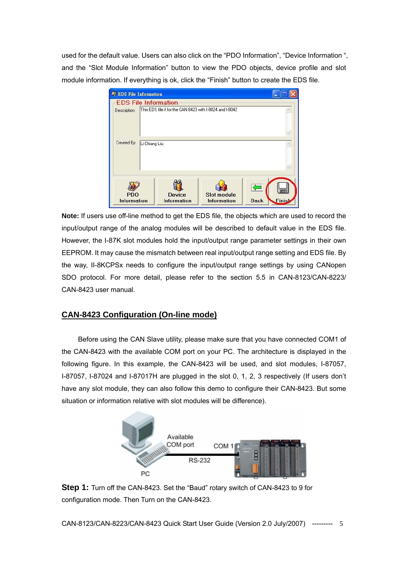used for the default value. Users can also click on the "PDO Information", "Device Information ", and the "Slot Module Information" button to view the PDO objects, device profile and slot module information. If everything is ok, click the "Finish" button to create the EDS file.

| <b>Solution</b> EDS File Information |               |                                                                                         |                                          |                              |
|--------------------------------------|---------------|-----------------------------------------------------------------------------------------|------------------------------------------|------------------------------|
|                                      |               | <b>EDS File Information</b><br>This EDS file if for the CAN-8423 with I-8024 and I-8042 |                                          |                              |
| Description:                         |               |                                                                                         |                                          |                              |
| Created By:                          | Li-Chiang Liu |                                                                                         |                                          |                              |
|                                      |               |                                                                                         |                                          |                              |
| <b>PDO</b><br><b>Information</b>     |               | <b>Device</b><br><b>Information</b>                                                     | <b>Slot module</b><br><b>Information</b> | <b>Finish</b><br><b>Back</b> |

**Note:** If users use off-line method to get the EDS file, the objects which are used to record the input/output range of the analog modules will be described to default value in the EDS file. However, the I-87K slot modules hold the input/output range parameter settings in their own EEPROM. It may cause the mismatch between real input/output range setting and EDS file. By the way, II-8KCPSx needs to configure the input/output range settings by using CANopen SDO protocol. For more detail, please refer to the section 5.5 in CAN-8123/CAN-8223/ CAN-8423 user manual.

## **CAN-8423 Configuration (On-line mode)**

Before using the CAN Slave utility, please make sure that you have connected COM1 of the CAN-8423 with the available COM port on your PC. The architecture is displayed in the following figure. In this example, the CAN-8423 will be used, and slot modules, I-87057, I-87057, I-87024 and I-87017H are plugged in the slot 0, 1, 2, 3 respectively (If users don't have any slot module, they can also follow this demo to configure their CAN-8423. But some situation or information relative with slot modules will be difference).



**Step 1:** Turn off the CAN-8423. Set the "Baud" rotary switch of CAN-8423 to 9 for configuration mode. Then Turn on the CAN-8423.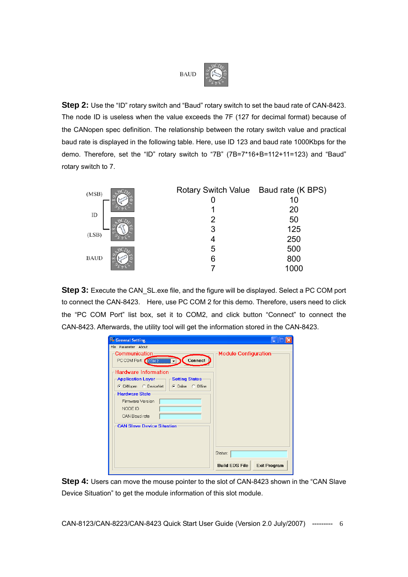

**Step 2:** Use the "ID" rotary switch and "Baud" rotary switch to set the baud rate of CAN-8423. The node ID is useless when the value exceeds the 7F (127 for decimal format) because of the CANopen spec definition. The relationship between the rotary switch value and practical baud rate is displayed in the following table. Here, use ID 123 and baud rate 1000Kbps for the demo. Therefore, set the "ID" rotary switch to "7B" (7B=7\*16+B=112+11=123) and "Baud" rotary switch to 7.

| (MSB)       | Rotary Switch Value Baud rate (K BPS) |      |
|-------------|---------------------------------------|------|
|             |                                       | 10   |
|             |                                       | 20   |
| ID          | 2                                     | 50   |
|             | 3                                     | 125  |
| (LSB)       |                                       | 250  |
|             | 5                                     | 500  |
| <b>BAUD</b> | 6                                     | 800  |
|             |                                       | 1000 |

**Step 3:** Execute the CAN\_SL.exe file, and the figure will be displayed. Select a PC COM port to connect the CAN-8423. Here, use PC COM 2 for this demo. Therefore, users need to click the "PC COM Port" list box, set it to COM2, and click button "Connect" to connect the CAN-8423. Afterwards, the utility tool will get the information stored in the CAN-8423.

| <b>B.</b> General Setting                                                                                                                                                                                                                 |                                                         |
|-------------------------------------------------------------------------------------------------------------------------------------------------------------------------------------------------------------------------------------------|---------------------------------------------------------|
| File Parameter About                                                                                                                                                                                                                      |                                                         |
| Communication<br>Connect<br>PC COM Port: COM 2<br><b>Hardware Information</b><br><b>Application Layer</b><br><b>Setting States</b><br>C CANopen C DeviceNet<br>C Online C Offline<br><b>Hardware State</b><br>Firmware Version<br>NODE ID | Module Configuration                                    |
| CAN Baud rate<br><b>CAN Slave Device Situation</b>                                                                                                                                                                                        | Status:<br><b>Build EDS File</b><br><b>Exit Program</b> |

**Step 4:** Users can move the mouse pointer to the slot of CAN-8423 shown in the "CAN Slave Device Situation" to get the module information of this slot module.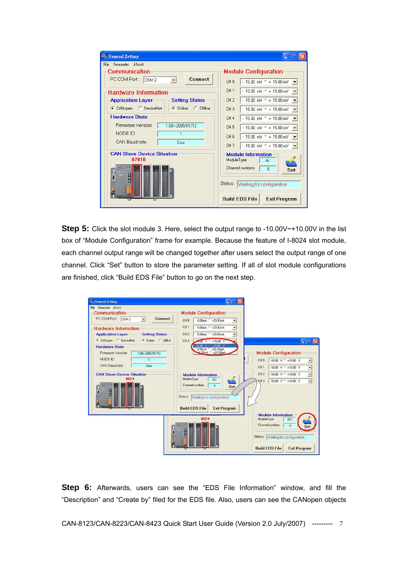| <b>General Setting</b><br>File Parameter About                                   |                                                                                                                                     |  |  |
|----------------------------------------------------------------------------------|-------------------------------------------------------------------------------------------------------------------------------------|--|--|
| Communication<br>Connect<br>PC COM Port: COM 2                                   | <b>Module Configuration</b><br>$-15.00$ mV $\sim +15.00$ mV $\sim$<br>CH <sub>0</sub>                                               |  |  |
| <b>Hardware Information</b><br><b>Application Layer</b><br><b>Setting States</b> | CH <sub>1</sub><br>$-15.00$ mV $\degree$ + 15.00 mV $\bullet$<br>CH <sub>2</sub><br>$-15.00$ mV $\sim$ + 15.00 mV $\sim$            |  |  |
| C CANopen C DeviceNet<br>C Online C Offline                                      | CH <sub>3</sub><br>$-15.00$ mV $\sim$ + 15.00 mV $\sim$                                                                             |  |  |
| <b>Hardware State</b><br>Firmware Version<br>1.00 -- 2005/01/12                  | CH <sub>4</sub><br>$-15.00$ mV $\degree$ + 15.00 mV<br>CH <sub>5</sub><br>$-15.00$ mV $^{\sim}$ + 15.00 mV $\rightarrow$            |  |  |
| NODE ID<br>CAN Raud rate<br><b>Frron</b>                                         | CH <sub>6</sub><br>$-15.00$ mV $^{\sim}$ + 15.00 mV $\blacktriangledown$<br>CH <sub>7</sub><br>$-15.00$ mV $\sim$ + 15.00 mV $\sim$ |  |  |
| <b>CAN Slave Device Situation</b><br>87018                                       | <b>Module Information</b><br>ModuleType<br>AI                                                                                       |  |  |
| R                                                                                | Channel numbers<br>8<br>Set<br>Status: Waiting for configuration                                                                    |  |  |
|                                                                                  | <b>Build EDS File</b><br><b>Exit Program</b>                                                                                        |  |  |

**Step 5:** Click the slot module 3. Here, select the output range to -10.00V~+10.00V in the list box of "Module Configuration" frame for example. Because the feature of I-8024 slot module, each channel output range will be changed together after users select the output range of one channel. Click "Set" button to store the parameter setting. If all of slot module configurations are finished, click "Build EDS File" button to go on the next step.

| <b>General Setting</b><br>File Parameter About                                                                       | u.                                                                                                               |                                                                                                                                                                            |
|----------------------------------------------------------------------------------------------------------------------|------------------------------------------------------------------------------------------------------------------|----------------------------------------------------------------------------------------------------------------------------------------------------------------------------|
| Communication<br><b>Connect</b>                                                                                      | <b>Module Configuration</b>                                                                                      |                                                                                                                                                                            |
| PC COM Port: COM 2<br>$\overline{ }$                                                                                 | CH <sub>0</sub><br>$-0.00mA \sim +20.00mA$<br>$\overline{\phantom{a}}$                                           |                                                                                                                                                                            |
| <b>Hardware Information</b>                                                                                          | CH <sub>1</sub><br>$-0.00$ mA ~ +20.00mA<br>$\overline{\phantom{0}}$                                             |                                                                                                                                                                            |
| <b>Application Layer</b><br><b>Setting States</b>                                                                    | CH <sub>2</sub><br>$-0.00$ mA ~ +20.00mA<br>$\overline{\phantom{a}}$                                             |                                                                                                                                                                            |
| CANopen C DeviceNet<br>C Online C Offline                                                                            | CH <sub>3</sub><br>$10.00 \text{ V}$ ~ +10.00 V                                                                  | $ \Box$ $\times$                                                                                                                                                           |
| <b>Hardware State</b><br>Firmware Version<br>1.00 -- 2005/01/12<br>NODE ID<br>$\mathbf{1}$<br>CAN Baud rate<br>Error | $-10.00$ V $^{\sim}$ +10.00 V<br>$0.00mA \sim +20.00mA$<br>$100mA = +20.00mA$                                    | <b>Module Configuration</b><br>CH <sub>0</sub><br>-10.00 V $\degree$ +10.00 V<br>$\overline{ }$<br>CH <sub>1</sub><br>-10.00 V $\sim$ +10.00 V<br>$\overline{\phantom{0}}$ |
| <b>CAN Slave Device Situation</b>                                                                                    | <b>Module Information</b>                                                                                        | ×<br>CH <sub>2</sub><br>-10.00 V $\degree$ +10.00 V                                                                                                                        |
| 8024                                                                                                                 | ModuleType<br>A <sub>0</sub>                                                                                     | $\overline{\phantom{0}}$<br>-10.00 V $\sim$ +10.00 V<br>CH <sub>3</sub>                                                                                                    |
|                                                                                                                      | Channel numbers<br>4<br>Set<br>Status: Waiting for configuration<br><b>Build EDS File</b><br><b>Exit Program</b> |                                                                                                                                                                            |
|                                                                                                                      | 8024                                                                                                             | <b>Module Information</b><br>ModuleType<br>AO<br>Channel numbers<br>$\overline{4}$<br>Status: Waiting for configuration<br><b>Build EDS File</b><br><b>Exit Program</b>    |

**Step 6:** Afterwards, users can see the "EDS File Information" window, and fill the "Description" and "Create by" filed for the EDS file. Also, users can see the CANopen objects